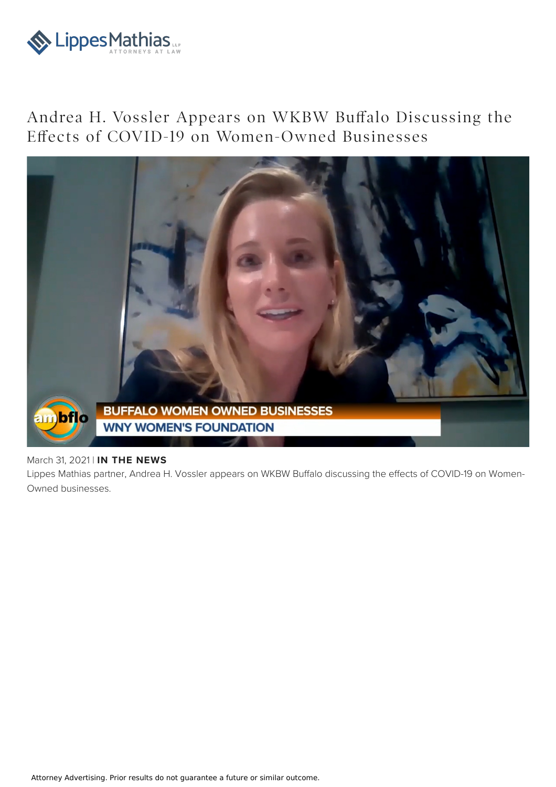

## Andrea H. Vossler Appears on WKBW Buffalo Discussing the Effects of COVID-19 on Women-Owned Businesses



## March 31, 2021 | **IN THE NEWS**

Lippes Mathias partner, Andrea H. Vossler appears on WKBW Buffalo discussing the effects of COVID-19 on Women-Owned businesses.